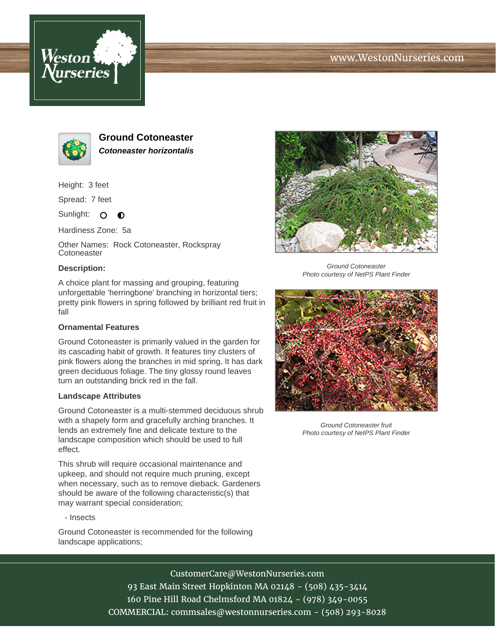





**Ground Cotoneaster Cotoneaster horizontalis**

Height: 3 feet

Spread: 7 feet

Sunlight: O  $\bullet$ 

Hardiness Zone: 5a

Other Names: Rock Cotoneaster, Rockspray **Cotoneaster** 

## **Description:**

A choice plant for massing and grouping, featuring unforgettable 'herringbone' branching in horizontal tiers; pretty pink flowers in spring followed by brilliant red fruit in fall

## **Ornamental Features**

Ground Cotoneaster is primarily valued in the garden for its cascading habit of growth. It features tiny clusters of pink flowers along the branches in mid spring. It has dark green deciduous foliage. The tiny glossy round leaves turn an outstanding brick red in the fall.

## **Landscape Attributes**

Ground Cotoneaster is a multi-stemmed deciduous shrub with a shapely form and gracefully arching branches. It lends an extremely fine and delicate texture to the landscape composition which should be used to full effect.

This shrub will require occasional maintenance and upkeep, and should not require much pruning, except when necessary, such as to remove dieback. Gardeners should be aware of the following characteristic(s) that may warrant special consideration;

- Insects

Ground Cotoneaster is recommended for the following landscape applications;



Ground Cotoneaster Photo courtesy of NetPS Plant Finder



Ground Cotoneaster fruit Photo courtesy of NetPS Plant Finder

CustomerCare@WestonNurseries.com 93 East Main Street Hopkinton MA 02148 - (508) 435-3414 160 Pine Hill Road Chelmsford MA 01824 - (978) 349-0055

COMMERCIAL: commsales@westonnurseries.com - (508) 293-8028